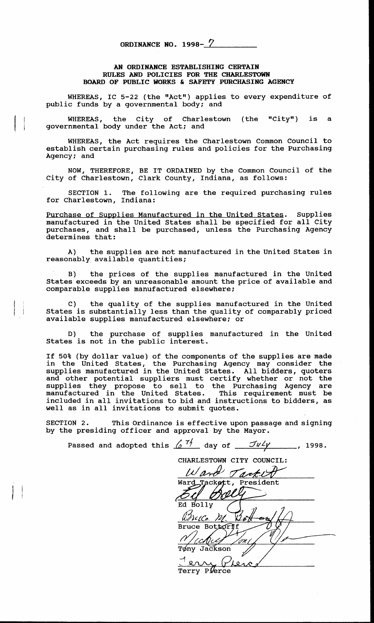| ORDINANCE NO. 1998- $\frac{7}{2}$ |  |  |  |
|-----------------------------------|--|--|--|
|-----------------------------------|--|--|--|

## *AN* **ORDINANCE ESTABLISHING CERTAIN RULES AND POLICIES FOR THE CHARLESTOWN BOARD OF PUBLIC WORKS** & **SAFETY PURCHASING AGENCY**

WHEREAS, IC 5-22 (the "Act") applies to every expenditure of public funds by a governmental body; and

governmental body under the Act; and WHEREAS, the City of Charlestown (the "City") is a

WHEREAS, the Act requires the Charlestown Common Council to establish certain purchasing rules and policies for the Purchasing Agency: and

City of Charlestown, Clark County, Indiana, as follows: NOW, THEREFORE, BE IT ORDAINED by the Common Council of the

SECTION 1. The following are the required purchasing rules for Charlestown, Indiana:

Purchase of Supplies Manufactured in the United States. Supplies manufactured in the United States shall be specified for all City manufactured in the United States shall be specified for all City purchases, and shall be purchased, unless the Purchasing Agency determines that:

the supplies are not manufactured in the United States in A) reasonably available quantities;

B) the prices of the supplies manufactured in the United States exceeds by an unreasonable amount the price of available and comparable supplies manufactured elsewhere:

the quality of the supplies manufactured in the United States is substantially less than the quality of comparably priced available supplies manufactured elsewhere; or

D) the purchase of supplies manufactured in the United States is not in the public interest.

If 50% (by dollar value) of the components of the supplies are made in the United States, the Purchasing Agency may consider the supplies manufactured in the United States. All bidders, quoters and other potential suppliers must certify whether or not the supplies they propose to sell to the Purchasing Agency are manufactured in the United States. This requirement must be included in all invitations to bid and instructions to bidders, **as**  well as in all invitations to submit quotes.

SECTION 2. This Ordinance is effective upon passage and signing by the presiding officer and approval by the Mayor.

Passed and adopted this  $\frac{\pi}{6}$   $\frac{7}{\pi}$  day of  $\frac{7}{\pi}$   $\frac{7}{\pi}$ , 1998. CHARLESTOWN CITY COUNCIL: *Ward Tackett* Bolly  $4C_2$ VU. V2 Bruce Bottorff Tøny Jackson Jerry /~ Terry Plerce